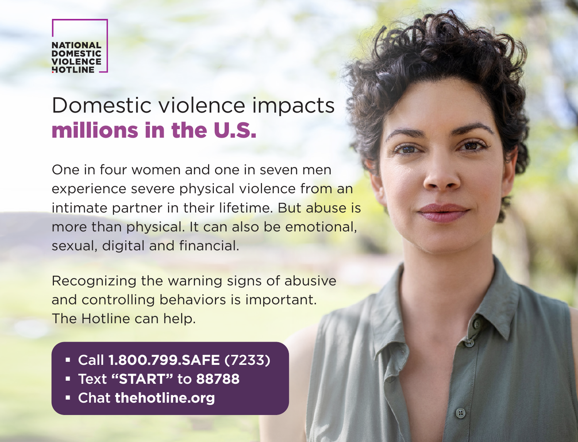**NATIONAL VIOLENCE** 

## Domestic violence impacts millions in the U.S.

One in four women and one in seven men experience severe physical violence from an intimate partner in their lifetime. But abuse is more than physical. It can also be emotional, sexual, digital and financial.

Recognizing the warning signs of abusive and controlling behaviors is important. The Hotline can help.

- Call **1.800.799.SAFE** (7233)
- Text **"START"** to **88788**
- Chat **thehotline.org**